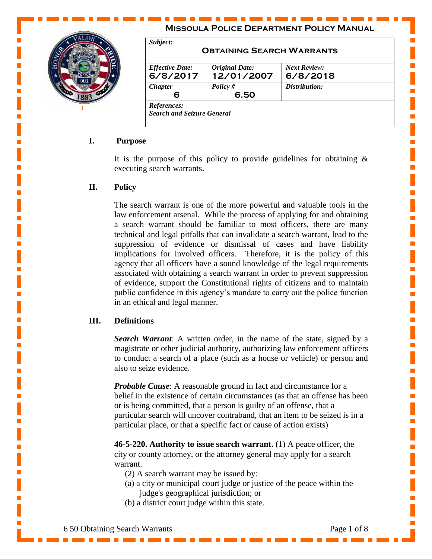

#### **Missoula Police Department Policy Manual** *Subject:* **Obtaining Search Warrants** *Effective Date:* **6/8/2017** *Original Date:* **12/01/2007** *Next Review:* **6/8/2018** *Chapter* **6** *Policy #* **6.50** *Distribution: References: Search and Seizure General*

# **I. Purpose**

It is the purpose of this policy to provide guidelines for obtaining  $\&$ executing search warrants.

# **II. Policy**

The search warrant is one of the more powerful and valuable tools in the law enforcement arsenal. While the process of applying for and obtaining a search warrant should be familiar to most officers, there are many technical and legal pitfalls that can invalidate a search warrant, lead to the suppression of evidence or dismissal of cases and have liability implications for involved officers. Therefore, it is the policy of this agency that all officers have a sound knowledge of the legal requirements associated with obtaining a search warrant in order to prevent suppression of evidence, support the Constitutional rights of citizens and to maintain public confidence in this agency's mandate to carry out the police function in an ethical and legal manner.

# **III. Definitions**

*Search Warrant*: A written order, in the name of the state, signed by a magistrate or other judicial authority, authorizing law enforcement officers to conduct a search of a place (such as a house or vehicle) or person and also to seize evidence.

*Probable Cause:* A reasonable ground in fact and circumstance for a belief in the existence of certain circumstances (as that an offense has been or is being committed, that a person is guilty of an offense, that a particular search will uncover contraband, that an item to be seized is in a particular place, or that a specific fact or cause of action exists)

**46-5-220. Authority to issue search warrant.** (1) A peace officer, the city or county attorney, or the attorney general may apply for a search warrant.

- (2) A search warrant may be issued by:
- (a) a city or municipal court judge or justice of the peace within the judge's geographical jurisdiction; or
- (b) a district court judge within this state.

Ē,

Ē,

Ē,

Ē,

п

п

Ē,

Ē,

Ē,

L.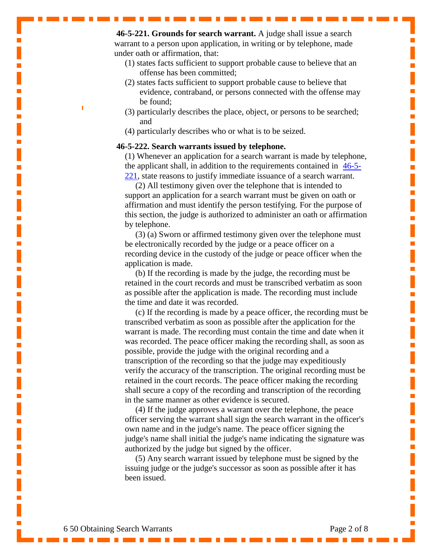**46-5-221. Grounds for search warrant.** A judge shall issue a search warrant to a person upon application, in writing or by telephone, made under oath or affirmation, that:

- (1) states facts sufficient to support probable cause to believe that an offense has been committed;
- (2) states facts sufficient to support probable cause to believe that evidence, contraband, or persons connected with the offense may be found;
- (3) particularly describes the place, object, or persons to be searched; and
- (4) particularly describes who or what is to be seized.

#### **46-5-222. Search warrants issued by telephone.**

(1) Whenever an application for a search warrant is made by telephone, the applicant shall, in addition to the requirements contained in  $\frac{46-5}{6}$ [221,](http://data.opi.mt.gov/bills/mca/46/5/46-5-221.htm) state reasons to justify immediate issuance of a search warrant.

 (2) All testimony given over the telephone that is intended to support an application for a search warrant must be given on oath or affirmation and must identify the person testifying. For the purpose of this section, the judge is authorized to administer an oath or affirmation by telephone.

 (3) (a) Sworn or affirmed testimony given over the telephone must be electronically recorded by the judge or a peace officer on a recording device in the custody of the judge or peace officer when the application is made.

 (b) If the recording is made by the judge, the recording must be retained in the court records and must be transcribed verbatim as soon as possible after the application is made. The recording must include the time and date it was recorded.

 (c) If the recording is made by a peace officer, the recording must be transcribed verbatim as soon as possible after the application for the warrant is made. The recording must contain the time and date when it was recorded. The peace officer making the recording shall, as soon as possible, provide the judge with the original recording and a transcription of the recording so that the judge may expeditiously verify the accuracy of the transcription. The original recording must be retained in the court records. The peace officer making the recording shall secure a copy of the recording and transcription of the recording in the same manner as other evidence is secured.

 (4) If the judge approves a warrant over the telephone, the peace officer serving the warrant shall sign the search warrant in the officer's own name and in the judge's name. The peace officer signing the judge's name shall initial the judge's name indicating the signature was authorized by the judge but signed by the officer.

 (5) Any search warrant issued by telephone must be signed by the issuing judge or the judge's successor as soon as possible after it has been issued.

L.

Ē.

п

Ē,

L.

L.

Ē.

Ē,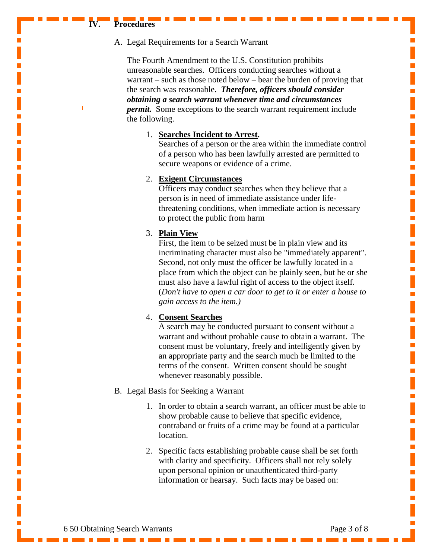#### **IV. Procedures**

## A. Legal Requirements for a Search Warrant

The Fourth Amendment to the U.S. Constitution prohibits unreasonable searches. Officers conducting searches without a warrant – such as those noted below – bear the burden of proving that the search was reasonable. *Therefore, officers should consider obtaining a search warrant whenever time and circumstances permit.* Some exceptions to the search warrant requirement include the following.

#### 1. **Searches Incident to Arrest.**

Searches of a person or the area within the immediate control of a person who has been lawfully arrested are permitted to secure weapons or evidence of a crime.

## 2. **Exigent Circumstances**

Officers may conduct searches when they believe that a person is in need of immediate assistance under lifethreatening conditions, when immediate action is necessary to protect the public from harm

## 3. **Plain View**

First, the item to be seized must be in plain view and its incriminating character must also be "immediately apparent". Second, not only must the officer be lawfully located in a place from which the object can be plainly seen, but he or she must also have a lawful right of access to the object itself. (*Don't have to open a car door to get to it or enter a house to gain access to the item.)*

#### 4. **Consent Searches**

A search may be conducted pursuant to consent without a warrant and without probable cause to obtain a warrant. The consent must be voluntary, freely and intelligently given by an appropriate party and the search much be limited to the terms of the consent. Written consent should be sought whenever reasonably possible.

- B. Legal Basis for Seeking a Warrant
	- 1. In order to obtain a search warrant, an officer must be able to show probable cause to believe that specific evidence, contraband or fruits of a crime may be found at a particular location.
	- 2. Specific facts establishing probable cause shall be set forth with clarity and specificity. Officers shall not rely solely upon personal opinion or unauthenticated third-party information or hearsay. Such facts may be based on:

L.

Ē,

L.

п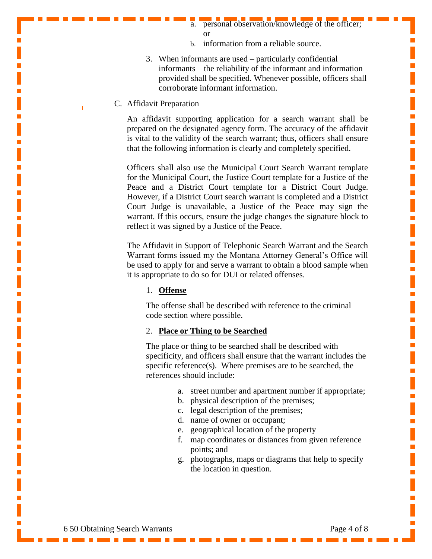a. personal observation/knowledge of the officer; or

I.

Ē.

Ē.

п

Ē,

п

Ē,

Ē.

Ē,

п

L.

Ē,

Ē,

п

п

- b. information from a reliable source.
- 3. When informants are used particularly confidential informants – the reliability of the informant and information provided shall be specified. Whenever possible, officers shall corroborate informant information.
- C. Affidavit Preparation

An affidavit supporting application for a search warrant shall be prepared on the designated agency form. The accuracy of the affidavit is vital to the validity of the search warrant; thus, officers shall ensure that the following information is clearly and completely specified.

Officers shall also use the Municipal Court Search Warrant template for the Municipal Court, the Justice Court template for a Justice of the Peace and a District Court template for a District Court Judge. However, if a District Court search warrant is completed and a District Court Judge is unavailable, a Justice of the Peace may sign the warrant. If this occurs, ensure the judge changes the signature block to reflect it was signed by a Justice of the Peace.

The Affidavit in Support of Telephonic Search Warrant and the Search Warrant forms issued my the Montana Attorney General's Office will be used to apply for and serve a warrant to obtain a blood sample when it is appropriate to do so for DUI or related offenses.

## 1. **Offense**

The offense shall be described with reference to the criminal code section where possible.

## 2. **Place or Thing to be Searched**

The place or thing to be searched shall be described with specificity, and officers shall ensure that the warrant includes the specific reference(s). Where premises are to be searched, the references should include:

- a. street number and apartment number if appropriate;
- b. physical description of the premises;
- c. legal description of the premises;
- d. name of owner or occupant;
- e. geographical location of the property
- f. map coordinates or distances from given reference points; and
- g. photographs, maps or diagrams that help to specify the location in question.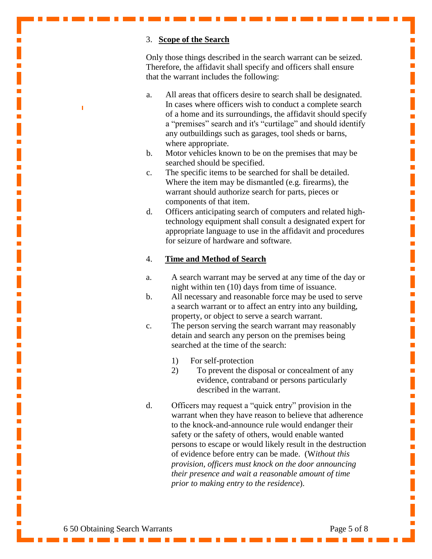## 3. **Scope of the Search**

Only those things described in the search warrant can be seized. Therefore, the affidavit shall specify and officers shall ensure that the warrant includes the following:

- a. All areas that officers desire to search shall be designated. In cases where officers wish to conduct a complete search of a home and its surroundings, the affidavit should specify a "premises" search and it's "curtilage" and should identify any outbuildings such as garages, tool sheds or barns, where appropriate.
- b. Motor vehicles known to be on the premises that may be searched should be specified.
- c. The specific items to be searched for shall be detailed. Where the item may be dismantled (e.g. firearms), the warrant should authorize search for parts, pieces or components of that item.
- d. Officers anticipating search of computers and related hightechnology equipment shall consult a designated expert for appropriate language to use in the affidavit and procedures for seizure of hardware and software.

#### 4. **Time and Method of Search**

- a. A search warrant may be served at any time of the day or night within ten (10) days from time of issuance.
- b. All necessary and reasonable force may be used to serve a search warrant or to affect an entry into any building, property, or object to serve a search warrant.
- c. The person serving the search warrant may reasonably detain and search any person on the premises being searched at the time of the search:
	- 1) For self-protection
	- 2) To prevent the disposal or concealment of any evidence, contraband or persons particularly described in the warrant.
- d. Officers may request a "quick entry" provision in the warrant when they have reason to believe that adherence to the knock-and-announce rule would endanger their safety or the safety of others, would enable wanted persons to escape or would likely result in the destruction of evidence before entry can be made. (W*ithout this provision, officers must knock on the door announcing their presence and wait a reasonable amount of time prior to making entry to the residence*).

I.

Ē.

Ē.

L.

Ē.

п

Ē.

 $\mathbf{r}$ 

п

L.

Ē.

Ē.

п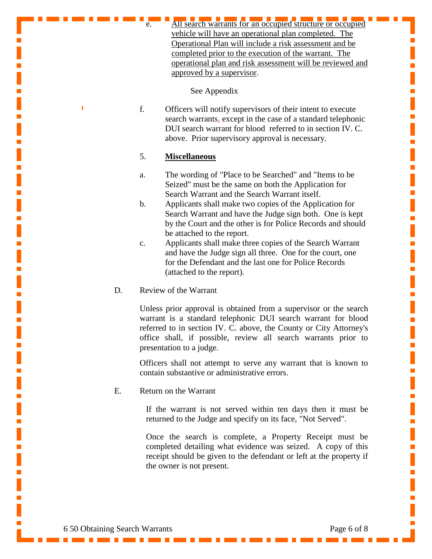All search warrants for an occupied structure or occupied vehicle will have an operational plan completed. The Operational Plan will include a risk assessment and be completed prior to the execution of the warrant. The operational plan and risk assessment will be reviewed and approved by a supervisor.

See Appendix

f. Officers will notify supervisors of their intent to execute search warrants, except in the case of a standard telephonic DUI search warrant for blood referred to in section IV. C. above. Prior supervisory approval is necessary.

## 5. **Miscellaneous**

- a. The wording of "Place to be Searched" and "Items to be Seized" must be the same on both the Application for Search Warrant and the Search Warrant itself.
- b. Applicants shall make two copies of the Application for Search Warrant and have the Judge sign both. One is kept by the Court and the other is for Police Records and should be attached to the report.
- c. Applicants shall make three copies of the Search Warrant and have the Judge sign all three. One for the court, one for the Defendant and the last one for Police Records (attached to the report).
- D. Review of the Warrant

Unless prior approval is obtained from a supervisor or the search warrant is a standard telephonic DUI search warrant for blood referred to in section IV. C. above, the County or City Attorney's office shall, if possible, review all search warrants prior to presentation to a judge.

Officers shall not attempt to serve any warrant that is known to contain substantive or administrative errors.

E. Return on the Warrant

If the warrant is not served within ten days then it must be returned to the Judge and specify on its face, "Not Served".

Once the search is complete, a Property Receipt must be completed detailing what evidence was seized. A copy of this receipt should be given to the defendant or left at the property if the owner is not present.

Ē.

Ē.

L.

Ē.

п

Ē.

Ē.

Ē.

п

п

Ē.

Ē.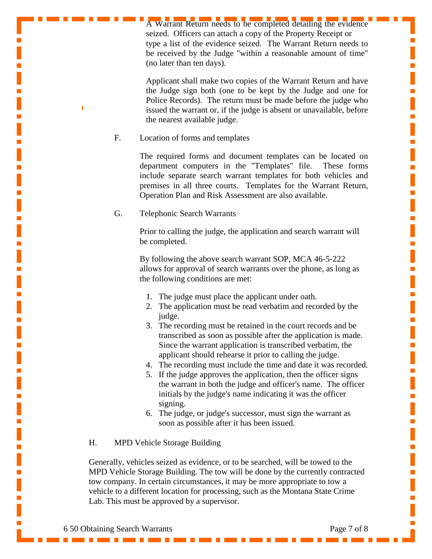A Warrant Return needs to be completed detailing the evidence seized. Officers can attach a copy of the Property Receipt or type a list of the evidence seized. The Warrant Return needs to be received by the Judge "within a reasonable amount of time" (no later than ten days).

т

I.

Ē.

Ē,

I.

Ē,

Ē,

L.

Ē,

L.

L.

Ē.

 $\mathbf{r}$ 

L.

п

Applicant shall make two copies of the Warrant Return and have the Judge sign both (one to be kept by the Judge and one for Police Records). The return must be made before the judge who issued the warrant or, if the judge is absent or unavailable, before the nearest available judge.

F. Location of forms and templates

The required forms and document templates can be located on department computers in the "Templates" file. These forms include separate search warrant templates for both vehicles and premises in all three courts. Templates for the Warrant Return, Operation Plan and Risk Assessment are also available.

G. Telephonic Search Warrants

Prior to calling the judge, the application and search warrant will be completed.

By following the above search warrant SOP, MCA 46-5-222 allows for approval of search warrants over the phone, as long as the following conditions are met:

- 1. The judge must place the applicant under oath.
- 2. The application must be read verbatim and recorded by the judge.
- 3. The recording must be retained in the court records and be transcribed as soon as possible after the application is made. Since the warrant application is transcribed verbatim, the applicant should rehearse it prior to calling the judge.
- 4. The recording must include the time and date it was recorded.
- 5. If the judge approves the application, then the officer signs the warrant in both the judge and officer's name. The officer initials by the judge's name indicating it was the officer signing.
- 6. The judge, or judge's successor, must sign the warrant as soon as possible after it has been issued.

# H. MPD Vehicle Storage Building

Generally, vehicles seized as evidence, or to be searched, will be towed to the MPD Vehicle Storage Building. The tow will be done by the currently contracted tow company. In certain circumstances, it may be more appropriate to tow a vehicle to a different location for processing, such as the Montana State Crime Lab. This must be approved by a supervisor.